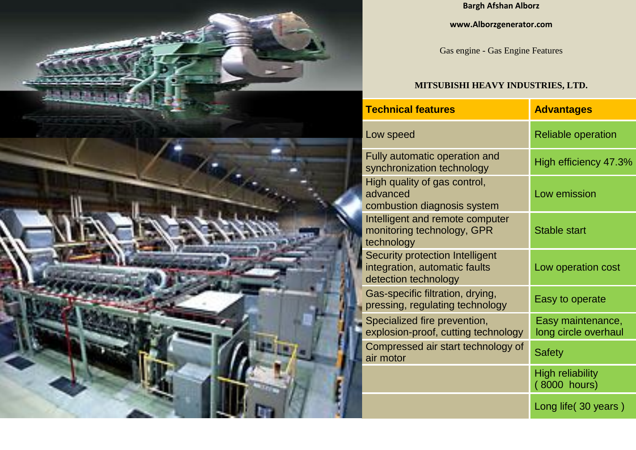

## **Bargh Afshan Alborz**

## **www.Alborzgenerator.com**

Gas engine - Gas Engine Features

## **MITSUBISHI HEAVY INDUSTRIES, LTD.**

| <b>Technical features</b>                                                                       | <b>Advantages</b>                         |  |  |
|-------------------------------------------------------------------------------------------------|-------------------------------------------|--|--|
| Low speed                                                                                       | <b>Reliable operation</b>                 |  |  |
| <b>Fully automatic operation and</b><br>synchronization technology                              | High efficiency 47.3%                     |  |  |
| High quality of gas control,<br>advanced<br>combustion diagnosis system                         | Low emission                              |  |  |
| Intelligent and remote computer<br>monitoring technology, GPR<br>technology                     | <b>Stable start</b>                       |  |  |
| <b>Security protection Intelligent</b><br>integration, automatic faults<br>detection technology | Low operation cost                        |  |  |
| Gas-specific filtration, drying,<br>pressing, regulating technology                             | Easy to operate                           |  |  |
| Specialized fire prevention,<br>explosion-proof, cutting technology                             | Easy maintenance,<br>long circle overhaul |  |  |
| Compressed air start technology of<br>air motor                                                 | <b>Safety</b>                             |  |  |
|                                                                                                 | <b>High reliability</b><br>(8000 hours)   |  |  |
|                                                                                                 | Long life (30 years)                      |  |  |